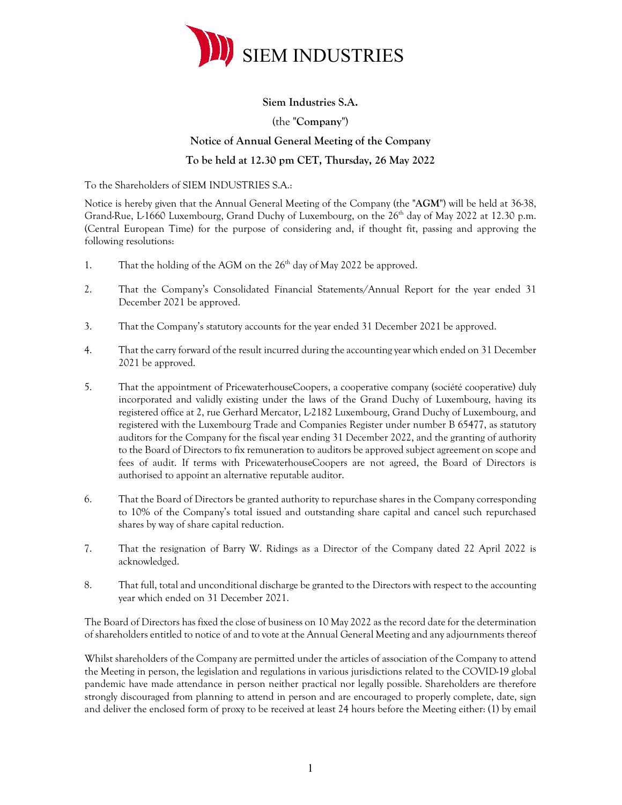

## **Siem Industries S.A.**

# (the "**Company**") **Notice of Annual General Meeting of the Company To be held at 12.30 pm CET, Thursday, 26 May 2022**

To the Shareholders of SIEM INDUSTRIES S.A.:

Notice is hereby given that the Annual General Meeting of the Company (the "**AGM**") will be held at 36-38, Grand-Rue, L-1660 Luxembourg, Grand Duchy of Luxembourg, on the  $26<sup>th</sup>$  day of May 2022 at 12.30 p.m. (Central European Time) for the purpose of considering and, if thought fit, passing and approving the following resolutions:

- 1. That the holding of the AGM on the  $26<sup>th</sup>$  day of May 2022 be approved.
- 2. That the Company's Consolidated Financial Statements/Annual Report for the year ended 31 December 2021 be approved.
- 3. That the Company's statutory accounts for the year ended 31 December 2021 be approved.
- 4. That the carry forward of the result incurred during the accounting year which ended on 31 December 2021 be approved.
- 5. That the appointment of PricewaterhouseCoopers, a cooperative company (société cooperative) duly incorporated and validly existing under the laws of the Grand Duchy of Luxembourg, having its registered office at 2, rue Gerhard Mercator, L-2182 Luxembourg, Grand Duchy of Luxembourg, and registered with the Luxembourg Trade and Companies Register under number B 65477, as statutory auditors for the Company for the fiscal year ending 31 December 2022, and the granting of authority to the Board of Directors to fix remuneration to auditors be approved subject agreement on scope and fees of audit. If terms with PricewaterhouseCoopers are not agreed, the Board of Directors is authorised to appoint an alternative reputable auditor.
- 6. That the Board of Directors be granted authority to repurchase shares in the Company corresponding to 10% of the Company's total issued and outstanding share capital and cancel such repurchased shares by way of share capital reduction.
- 7. That the resignation of Barry W. Ridings as a Director of the Company dated 22 April 2022 is acknowledged.
- 8. That full, total and unconditional discharge be granted to the Directors with respect to the accounting year which ended on 31 December 2021.

The Board of Directors has fixed the close of business on 10 May 2022 as the record date for the determination of shareholders entitled to notice of and to vote at the Annual General Meeting and any adjournments thereof

Whilst shareholders of the Company are permitted under the articles of association of the Company to attend the Meeting in person, the legislation and regulations in various jurisdictions related to the COVID-19 global pandemic have made attendance in person neither practical nor legally possible. Shareholders are therefore strongly discouraged from planning to attend in person and are encouraged to properly complete, date, sign and deliver the enclosed form of proxy to be received at least 24 hours before the Meeting either: (1) by email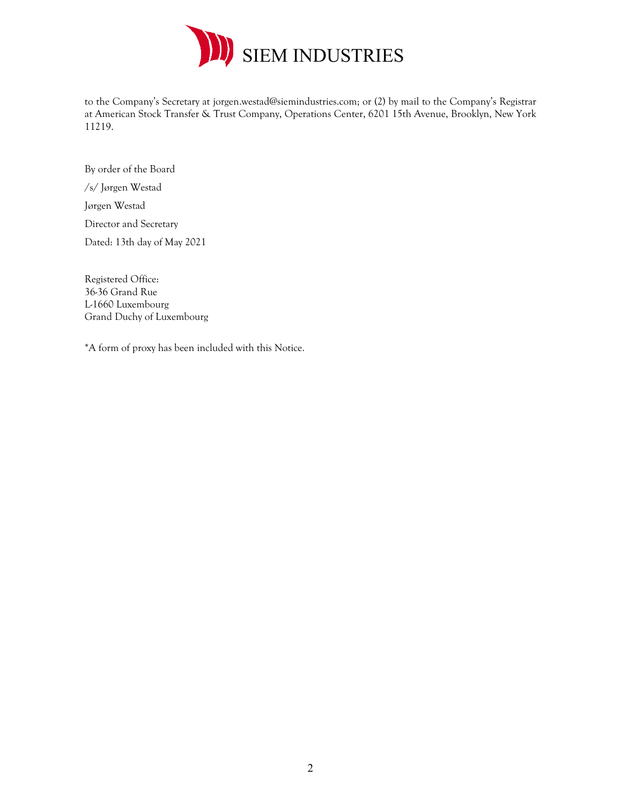

to the Company's Secretary at jorgen.westad@siemindustries.com; or (2) by mail to the Company's Registrar at American Stock Transfer & Trust Company, Operations Center, 6201 15th Avenue, Brooklyn, New York 11219.

By order of the Board /s/ Jørgen Westad Jørgen Westad Director and Secretary Dated: 13th day of May 2021

Registered Office: 36-36 Grand Rue L-1660 Luxembourg Grand Duchy of Luxembourg

\*A form of proxy has been included with this Notice.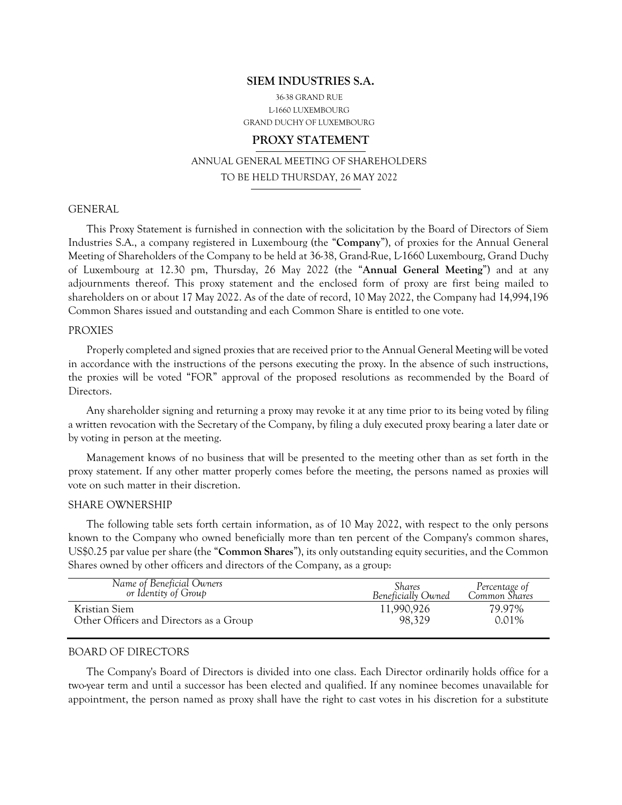#### **SIEM INDUSTRIES S.A.**

36-38 GRAND RUE L-1660 LUXEMBOURG GRAND DUCHY OF LUXEMBOURG

#### **PROXY STATEMENT**

ANNUAL GENERAL MEETING OF SHAREHOLDERS TO BE HELD THURSDAY, 26 MAY 2022

#### **GENERAL**

This Proxy Statement is furnished in connection with the solicitation by the Board of Directors of Siem Industries S.A., a company registered in Luxembourg (the "**Company**"), of proxies for the Annual General Meeting of Shareholders of the Company to be held at 36-38, Grand-Rue, L-1660 Luxembourg, Grand Duchy of Luxembourg at 12.30 pm, Thursday, 26 May 2022 (the "**Annual General Meeting**") and at any adjournments thereof. This proxy statement and the enclosed form of proxy are first being mailed to shareholders on or about 17 May 2022. As of the date of record, 10 May 2022, the Company had 14,994,196 Common Shares issued and outstanding and each Common Share is entitled to one vote.

#### PROXIES

Properly completed and signed proxies that are received prior to the Annual General Meeting will be voted in accordance with the instructions of the persons executing the proxy. In the absence of such instructions, the proxies will be voted "FOR" approval of the proposed resolutions as recommended by the Board of Directors.

Any shareholder signing and returning a proxy may revoke it at any time prior to its being voted by filing a written revocation with the Secretary of the Company, by filing a duly executed proxy bearing a later date or by voting in person at the meeting.

Management knows of no business that will be presented to the meeting other than as set forth in the proxy statement. If any other matter properly comes before the meeting, the persons named as proxies will vote on such matter in their discretion.

#### SHARE OWNERSHIP

The following table sets forth certain information, as of 10 May 2022, with respect to the only persons known to the Company who owned beneficially more than ten percent of the Company's common shares, US\$0.25 par value per share (the "**Common Shares**"), its only outstanding equity securities, and the Common Shares owned by other officers and directors of the Company, as a group:

| Name of Beneficial Owners               | Shares             | Percentage of |
|-----------------------------------------|--------------------|---------------|
| or Identity of Group                    | Beneficially Owned | Common Shares |
| Kristian Siem                           | 11,990,926         | 79.97%        |
| Other Officers and Directors as a Group | 98.329             | 0.01%         |

#### BOARD OF DIRECTORS

The Company's Board of Directors is divided into one class. Each Director ordinarily holds office for a two-year term and until a successor has been elected and qualified. If any nominee becomes unavailable for appointment, the person named as proxy shall have the right to cast votes in his discretion for a substitute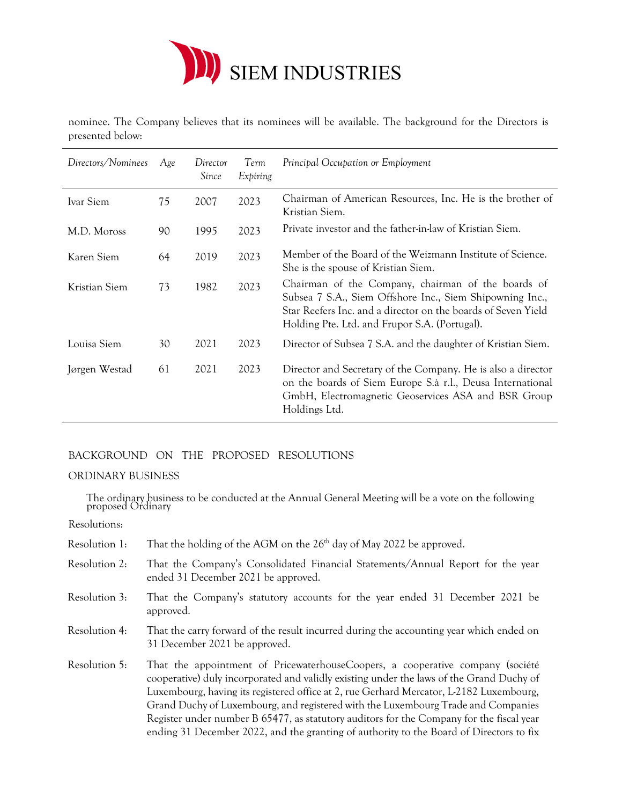

nominee. The Company believes that its nominees will be available. The background for the Directors is presented below:

| Directors/Nominees | Age | Director<br>Since | Term<br>Expiring | Principal Occupation or Employment                                                                                                                                                                                               |
|--------------------|-----|-------------------|------------------|----------------------------------------------------------------------------------------------------------------------------------------------------------------------------------------------------------------------------------|
| Ivar Siem          | 75  | 2007              | 2023             | Chairman of American Resources, Inc. He is the brother of<br>Kristian Siem.                                                                                                                                                      |
| M.D. Moross        | 90  | 1995              | 2023             | Private investor and the father-in-law of Kristian Siem.                                                                                                                                                                         |
| Karen Siem         | 64  | 2019              | 2023             | Member of the Board of the Weizmann Institute of Science.<br>She is the spouse of Kristian Siem.                                                                                                                                 |
| Kristian Siem      | 73  | 1982              | 2023             | Chairman of the Company, chairman of the boards of<br>Subsea 7 S.A., Siem Offshore Inc., Siem Shipowning Inc.,<br>Star Reefers Inc. and a director on the boards of Seven Yield<br>Holding Pte. Ltd. and Frupor S.A. (Portugal). |
| Louisa Siem        | 30  | 2021              | 2023             | Director of Subsea 7 S.A. and the daughter of Kristian Siem.                                                                                                                                                                     |
| Jørgen Westad      | 61  | 2021              | 2023             | Director and Secretary of the Company. He is also a director<br>on the boards of Siem Europe S.à r.l., Deusa International<br>GmbH, Electromagnetic Geoservices ASA and BSR Group<br>Holdings Ltd.                               |

# BACKGROUND ON THE PROPOSED RESOLUTIONS

## ORDINARY BUSINESS

The ordinary business to be conducted at the Annual General Meeting will be a vote on the following proposed Ordinary

Resolutions:

- Resolution 1: That the holding of the AGM on the  $26<sup>th</sup>$  day of May 2022 be approved.
- Resolution 2: That the Company's Consolidated Financial Statements/Annual Report for the year ended 31 December 2021 be approved.
- Resolution 3: That the Company's statutory accounts for the year ended 31 December 2021 be approved.
- Resolution 4: That the carry forward of the result incurred during the accounting year which ended on 31 December 2021 be approved.
- Resolution 5: That the appointment of PricewaterhouseCoopers, a cooperative company (société cooperative) duly incorporated and validly existing under the laws of the Grand Duchy of Luxembourg, having its registered office at 2, rue Gerhard Mercator, L-2182 Luxembourg, Grand Duchy of Luxembourg, and registered with the Luxembourg Trade and Companies Register under number B 65477, as statutory auditors for the Company for the fiscal year ending 31 December 2022, and the granting of authority to the Board of Directors to fix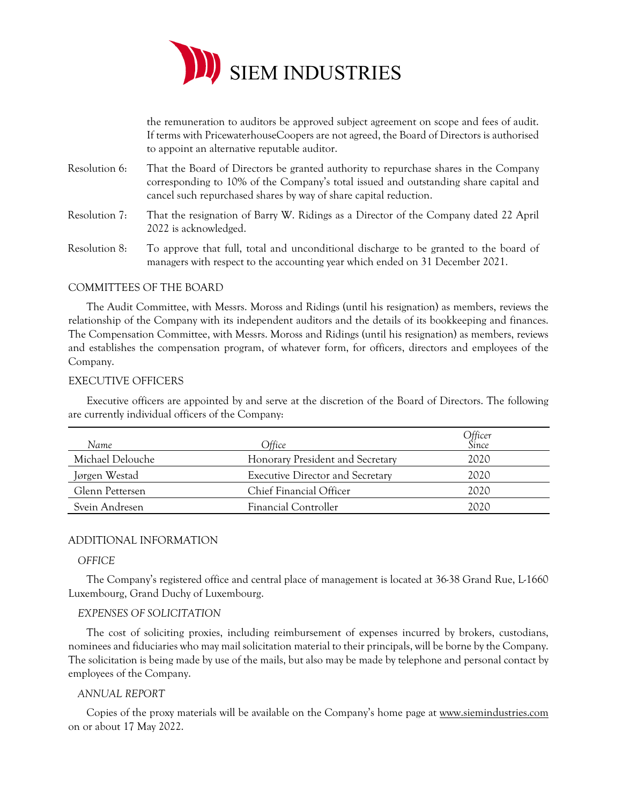

the remuneration to auditors be approved subject agreement on scope and fees of audit. If terms with PricewaterhouseCoopers are not agreed, the Board of Directors is authorised to appoint an alternative reputable auditor.

- Resolution 6: That the Board of Directors be granted authority to repurchase shares in the Company corresponding to 10% of the Company's total issued and outstanding share capital and cancel such repurchased shares by way of share capital reduction.
- Resolution 7: That the resignation of Barry W. Ridings as a Director of the Company dated 22 April 2022 is acknowledged.
- Resolution 8: To approve that full, total and unconditional discharge to be granted to the board of managers with respect to the accounting year which ended on 31 December 2021.

## COMMITTEES OF THE BOARD

The Audit Committee, with Messrs. Moross and Ridings (until his resignation) as members, reviews the relationship of the Company with its independent auditors and the details of its bookkeeping and finances. The Compensation Committee, with Messrs. Moross and Ridings (until his resignation) as members, reviews and establishes the compensation program, of whatever form, for officers, directors and employees of the Company.

#### EXECUTIVE OFFICERS

Executive officers are appointed by and serve at the discretion of the Board of Directors. The following are currently individual officers of the Company:

| Name             | Office                                  | Officer<br>Since |
|------------------|-----------------------------------------|------------------|
| Michael Delouche | Honorary President and Secretary        | 2020             |
| Jørgen Westad    | <b>Executive Director and Secretary</b> | 2020             |
| Glenn Pettersen  | Chief Financial Officer                 | 2020             |
| Svein Andresen   | Financial Controller                    | 2020             |

#### ADDITIONAL INFORMATION

#### *OFFICE*

The Company's registered office and central place of management is located at 36-38 Grand Rue, L-1660 Luxembourg, Grand Duchy of Luxembourg.

#### *EXPENSES OF SOLICITATION*

The cost of soliciting proxies, including reimbursement of expenses incurred by brokers, custodians, nominees and fiduciaries who may mail solicitation material to their principals, will be borne by the Company. The solicitation is being made by use of the mails, but also may be made by telephone and personal contact by employees of the Company.

#### *ANNUAL REPORT*

Copies of the proxy materials will be available on the Company's home page at www.siemindustries.com on or about 17 May 2022.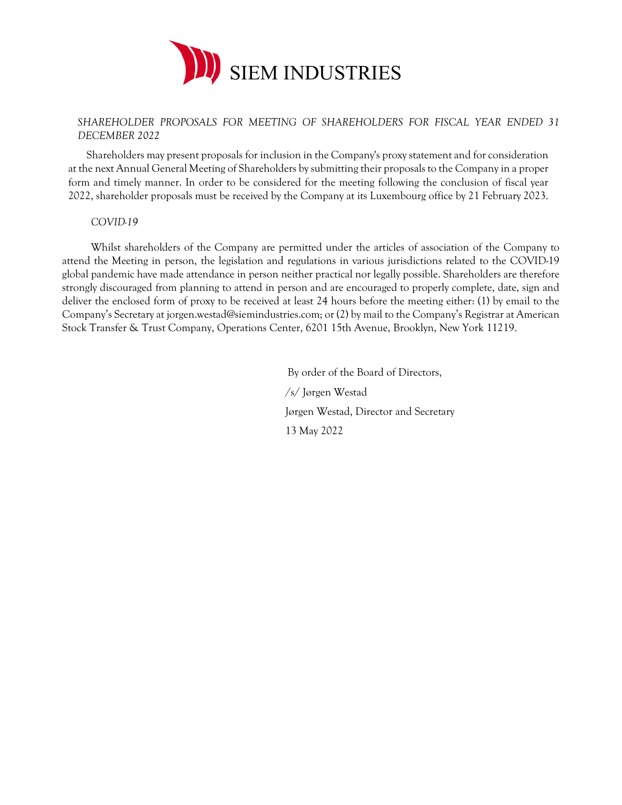

## *SHAREHOLDER PROPOSALS FOR MEETING OF SHAREHOLDERS FOR FISCAL YEAR ENDED 31 DECEMBER 2022*

Shareholders may present proposals for inclusion in the Company's proxy statement and for consideration at the next Annual General Meeting of Shareholders by submitting their proposals to the Company in a proper form and timely manner. In order to be considered for the meeting following the conclusion of fiscal year 2022, shareholder proposals must be received by the Company at its Luxembourg office by 21 February 2023.

#### *COVID-19*

Whilst shareholders of the Company are permitted under the articles of association of the Company to attend the Meeting in person, the legislation and regulations in various jurisdictions related to the COVID-19 global pandemic have made attendance in person neither practical nor legally possible. Shareholders are therefore strongly discouraged from planning to attend in person and are encouraged to properly complete, date, sign and deliver the enclosed form of proxy to be received at least 24 hours before the meeting either: (1) by email to the Company's Secretary at jorgen.westad@siemindustries.com; or (2) by mail to the Company's Registrar at American Stock Transfer & Trust Company, Operations Center, 6201 15th Avenue, Brooklyn, New York 11219.

> By order of the Board of Directors, /s/ Jørgen Westad Jørgen Westad, Director and Secretary 13 May 2022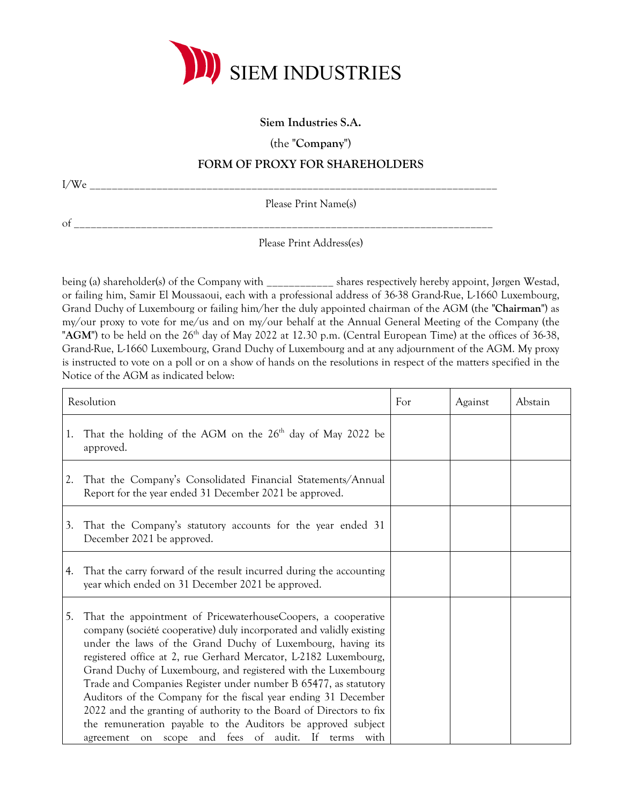

# **Siem Industries S.A.**

(the "**Company**")

# **FORM OF PROXY FOR SHAREHOLDERS**

I/We \_\_\_\_\_\_\_\_\_\_\_\_\_\_\_\_\_\_\_\_\_\_\_\_\_\_\_\_\_\_\_\_\_\_\_\_\_\_\_\_\_\_\_\_\_\_\_\_\_\_\_\_\_\_\_\_\_\_\_\_\_\_\_\_\_\_\_\_\_\_\_\_\_

Please Print Name(s)

of \_\_\_\_\_\_\_\_\_\_\_\_\_\_\_\_\_\_\_\_\_\_\_\_\_\_\_\_\_\_\_\_\_\_\_\_\_\_\_\_\_\_\_\_\_\_\_\_\_\_\_\_\_\_\_\_\_\_\_\_\_\_\_\_\_\_\_\_\_\_\_\_\_\_\_

Please Print Address(es)

being (a) shareholder(s) of the Company with \_\_\_\_\_\_\_\_\_\_\_\_ shares respectively hereby appoint, Jørgen Westad, or failing him, Samir El Moussaoui, each with a professional address of 36-38 Grand-Rue, L-1660 Luxembourg, Grand Duchy of Luxembourg or failing him/her the duly appointed chairman of the AGM (the "**Chairman**") as my/our proxy to vote for me/us and on my/our behalf at the Annual General Meeting of the Company (the "AGM") to be held on the 26<sup>th</sup> day of May 2022 at 12.30 p.m. (Central European Time) at the offices of 36-38, Grand-Rue, L-1660 Luxembourg, Grand Duchy of Luxembourg and at any adjournment of the AGM. My proxy is instructed to vote on a poll or on a show of hands on the resolutions in respect of the matters specified in the Notice of the AGM as indicated below:

| Resolution |                                                                                                                                                                                                                                                                                                                                                                                                                                                                                                                                                                                                                                                                             | For | Against | Abstain |
|------------|-----------------------------------------------------------------------------------------------------------------------------------------------------------------------------------------------------------------------------------------------------------------------------------------------------------------------------------------------------------------------------------------------------------------------------------------------------------------------------------------------------------------------------------------------------------------------------------------------------------------------------------------------------------------------------|-----|---------|---------|
| 1.         | That the holding of the AGM on the 26 <sup>th</sup> day of May 2022 be<br>approved.                                                                                                                                                                                                                                                                                                                                                                                                                                                                                                                                                                                         |     |         |         |
| 2.         | That the Company's Consolidated Financial Statements/Annual<br>Report for the year ended 31 December 2021 be approved.                                                                                                                                                                                                                                                                                                                                                                                                                                                                                                                                                      |     |         |         |
| 3.         | That the Company's statutory accounts for the year ended 31<br>December 2021 be approved.                                                                                                                                                                                                                                                                                                                                                                                                                                                                                                                                                                                   |     |         |         |
| 4.         | That the carry forward of the result incurred during the accounting<br>year which ended on 31 December 2021 be approved.                                                                                                                                                                                                                                                                                                                                                                                                                                                                                                                                                    |     |         |         |
| 5.         | That the appointment of PricewaterhouseCoopers, a cooperative<br>company (société cooperative) duly incorporated and validly existing<br>under the laws of the Grand Duchy of Luxembourg, having its<br>registered office at 2, rue Gerhard Mercator, L2182 Luxembourg,<br>Grand Duchy of Luxembourg, and registered with the Luxembourg<br>Trade and Companies Register under number B 65477, as statutory<br>Auditors of the Company for the fiscal year ending 31 December<br>2022 and the granting of authority to the Board of Directors to fix<br>the remuneration payable to the Auditors be approved subject<br>agreement on scope and fees of audit. If terms with |     |         |         |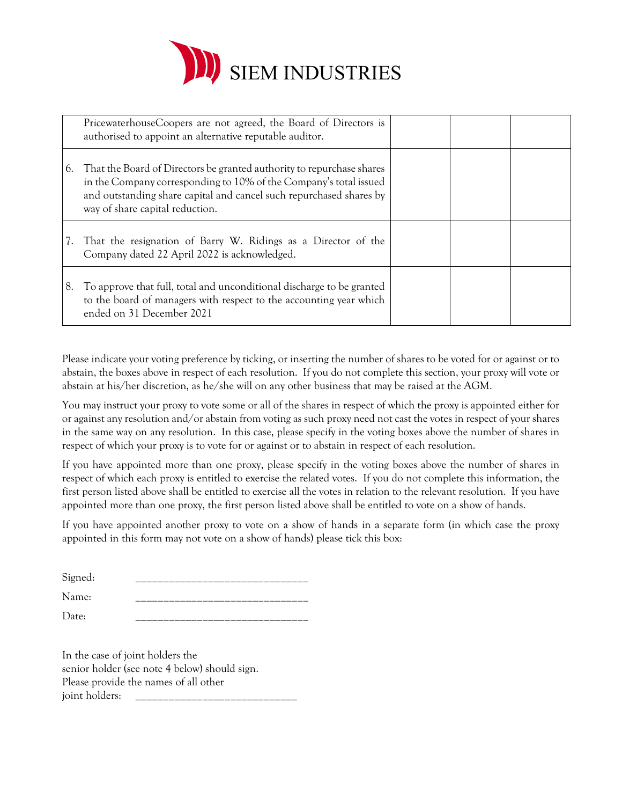

|    | PricewaterhouseCoopers are not agreed, the Board of Directors is<br>authorised to appoint an alternative reputable auditor.                                                                                                                             |  |  |
|----|---------------------------------------------------------------------------------------------------------------------------------------------------------------------------------------------------------------------------------------------------------|--|--|
|    | 6. That the Board of Directors be granted authority to repurchase shares<br>in the Company corresponding to 10% of the Company's total issued<br>and outstanding share capital and cancel such repurchased shares by<br>way of share capital reduction. |  |  |
|    | That the resignation of Barry W. Ridings as a Director of the<br>Company dated 22 April 2022 is acknowledged.                                                                                                                                           |  |  |
| 8. | To approve that full, total and unconditional discharge to be granted<br>to the board of managers with respect to the accounting year which<br>ended on 31 December 2021                                                                                |  |  |

Please indicate your voting preference by ticking, or inserting the number of shares to be voted for or against or to abstain, the boxes above in respect of each resolution. If you do not complete this section, your proxy will vote or abstain at his/her discretion, as he/she will on any other business that may be raised at the AGM.

You may instruct your proxy to vote some or all of the shares in respect of which the proxy is appointed either for or against any resolution and/or abstain from voting as such proxy need not cast the votes in respect of your shares in the same way on any resolution. In this case, please specify in the voting boxes above the number of shares in respect of which your proxy is to vote for or against or to abstain in respect of each resolution.

If you have appointed more than one proxy, please specify in the voting boxes above the number of shares in respect of which each proxy is entitled to exercise the related votes. If you do not complete this information, the first person listed above shall be entitled to exercise all the votes in relation to the relevant resolution. If you have appointed more than one proxy, the first person listed above shall be entitled to vote on a show of hands.

If you have appointed another proxy to vote on a show of hands in a separate form (in which case the proxy appointed in this form may not vote on a show of hands) please tick this box:

| Signed:                  |  |
|--------------------------|--|
| Name:                    |  |
| $\overline{\phantom{a}}$ |  |

Date: \_\_\_\_\_\_\_\_\_\_\_\_\_\_\_\_\_\_\_\_\_\_\_\_\_\_\_\_\_\_\_

In the case of joint holders the senior holder (see note 4 below) should sign. Please provide the names of all other joint holders: